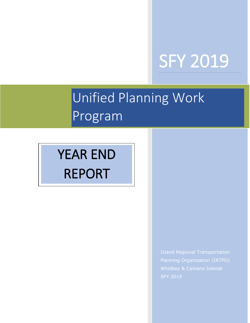# SFY 2019

# $\frac{1}{2}$ Unified Planning Work Program

# YEAR END REPORT

Island Regional Transportation Planning Organization (IRTPO) Whidbey & Camano Islands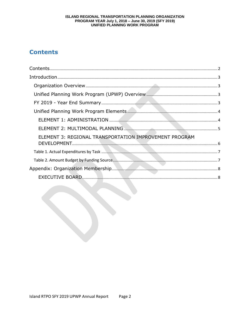# ISLAND REGIONAL TRANSPORTATION PLANNING ORGANIZATION PROGRAM YEAR July 1, 2018 – June 30, 2019 (SFY 2019)<br>UNIFIED PLANNING WORK PROGRAM

# **Contents**

| ELEMENT 3: REGIONAL TRANSPORTATION IMPROVEMENT PROGRAM |  |
|--------------------------------------------------------|--|
|                                                        |  |
|                                                        |  |
|                                                        |  |
|                                                        |  |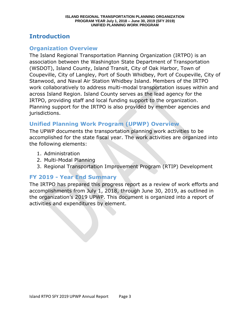# **Introduction**

## **Organization Overview**

The Island Regional Transportation Planning Organization (IRTPO) is an association between the Washington State Department of Transportation (WSDOT), Island County, Island Transit, City of Oak Harbor, Town of Coupeville, City of Langley, Port of South Whidbey, Port of Coupeville, City of Stanwood, and Naval Air Station Whidbey Island. Members of the IRTPO work collaboratively to address multi-modal transportation issues within and across Island Region. Island County serves as the lead agency for the IRTPO, providing staff and local funding support to the organization. Planning support for the IRTPO is also provided by member agencies and jurisdictions.

# **Unified Planning Work Program (UPWP) Overview**

The UPWP documents the transportation planning work activities to be accomplished for the state fiscal year. The work activities are organized into the following elements:

- 1. Administration
- 2. Multi-Modal Planning
- 3. Regional Transportation Improvement Program (RTIP) Development

# **FY 2019 - Year End Summary**

The IRTPO has prepared this progress report as a review of work efforts and accomplishments from July 1, 2018, through June 30, 2019, as outlined in the organization's 2019 UPWP. This document is organized into a report of activities and expenditures by element.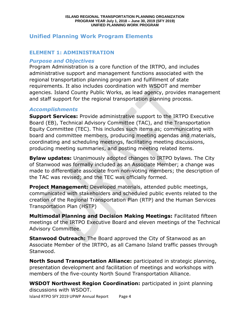# **Unified Planning Work Program Elements**

#### **ELEMENT 1: ADMINISTRATION**

#### *Purpose and Objectives*

Program Administration is a core function of the IRTPO, and includes administrative support and management functions associated with the regional transportation planning program and fulfillment of state requirements. It also includes coordination with WSDOT and member agencies. Island County Public Works, as lead agency, provides management and staff support for the regional transportation planning process.

#### *Accomplishments*

**Support Services:** Provide administrative support to the IRTPO Executive Board (EB), Technical Advisory Committee (TAC), and the Transportation Equity Committee (TEC). This includes such items as; communicating with board and committee members, producing meeting agendas and materials, coordinating and scheduling meetings, facilitating meeting discussions, producing meeting summaries, and posting meeting related items.

**Bylaw updates:** Unanimously adopted changes to IRTPO bylaws. The City of Stanwood was formally included as an Associate Member; a change was made to differentiate associate from non-voting members; the description of the TAC was revised; and the TEC was officially formed.

**Project Management:** Developed materials, attended public meetings, communicated with stakeholders and scheduled public events related to the creation of the Regional Transportation Plan (RTP) and the Human Services Transportation Plan (HSTP)

**Multimodal Planning and Decision Making Meetings:** Facilitated fifteen meetings of the IRTPO Executive Board and eleven meetings of the Technical Advisory Committee.

**Stanwood Outreach:** The Board approved the City of Stanwood as an Associate Member of the IRTPO, as all Camano Island traffic passes through Stanwood.

**North Sound Transportation Alliance:** participated in strategic planning, presentation development and facilitation of meetings and workshops with members of the five-county North Sound Transportation Alliance.

Island RTPO SFY 2019 UPWP Annual Report Page 4 **WSDOT Northwest Region Coordination:** participated in joint planning discussions with WSDOT.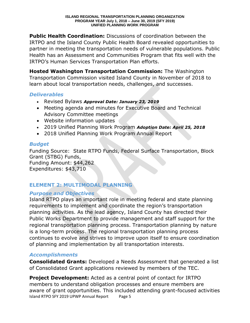**Public Health Coordination:** Discussions of coordination between the IRTPO and the Island County Public Health Board revealed opportunities to partner in meeting the transportation needs of vulnerable populations. Public Health has an Assessment and Communities Program that fits well with the IRTPO's Human Services Transportation Plan efforts.

**Hosted Washington Transportation Commission:** The Washington Transportation Commission visited Island County in November of 2018 to learn about local transportation needs, challenges, and successes.

### *Deliverables*

- Revised Bylaws *Approval Date: January 23, 2019*
- Meeting agenda and minutes for Executive Board and Technical Advisory Committee meetings
- Website information updates
- 2019 Unified Planning Work Program *Adoption Date: April 25, 2018*
- 2018 Unified Planning Work Program Annual Report

## *Budget*

Funding Source: State RTPO Funds, Federal Surface Transportation, Block Grant (STBG) Funds, Funding Amount: \$44,262 Expenditures: \$43,710

# **ELEMENT 2: MULTIMODAL PLANNING**

## *Purpose and Objectives*

Island RTPO plays an important role in meeting federal and state planning requirements to implement and coordinate the region's transportation planning activities. As the lead agency, Island County has directed their Public Works Department to provide management and staff support for the regional transportation planning process. Transportation planning by nature is a long-term process. The regional transportation planning process continues to evolve and strives to improve upon itself to ensure coordination of planning and implementation by all transportation interests.

# *Accomplishments*

**Consolidated Grants:** Developed a Needs Assessment that generated a list of Consolidated Grant applications reviewed by members of the TEC.

Island RTPO SFY 2019 UPWP Annual Report Page 5 **Project Development:** Acted as a central point of contact for IRTPO members to understand obligation processes and ensure members are aware of grant opportunities. This included attending grant-focused activities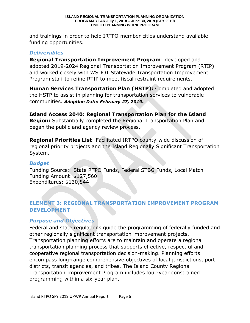#### **ISLAND REGIONAL TRANSPORTATION PLANNING ORGANIZATION PROGRAM YEAR July 1, 2018 – June 30, 2019 (SFY 2019) UNIFIED PLANNING WORK PROGRAM**

and trainings in order to help IRTPO member cities understand available funding opportunities.

#### *Deliverables*

**Regional Transportation Improvement Program**: developed and adopted 2019-2024 Regional Transportation Improvement Program (RTIP) and worked closely with WSDOT Statewide Transportation Improvement Program staff to refine RTIP to meet fiscal restraint requirements.

**Human Services Transportation Plan (HSTP):** Completed and adopted the HSTP to assist in planning for transportation services to vulnerable communities. *Adoption Date: February 27, 2019.*

**Island Access 2040: Regional Transportation Plan for the Island Region:** Substantially completed the Regional Transportation Plan and began the public and agency review process.

**Regional Priorities List**: Facilitated IRTPO county-wide discussion of regional priority projects and the Island Regionally Significant Transportation System.

#### *Budget*

Funding Source: State RTPO Funds, Federal STBG Funds, Local Match Funding Amount: \$127,560 Expenditures: \$130,844

### **ELEMENT 3: REGIONAL TRANSPORTATION IMPROVEMENT PROGRAM DEVELOPMENT**

#### *Purpose and Objectives*

Federal and state regulations guide the programming of federally funded and other regionally significant transportation improvement projects. Transportation planning efforts are to maintain and operate a regional transportation planning process that supports effective, respectful and cooperative regional transportation decision-making. Planning efforts encompass long-range comprehensive objectives of local jurisdictions, port districts, transit agencies, and tribes. The Island County Regional Transportation Improvement Program includes four-year constrained programming within a six-year plan.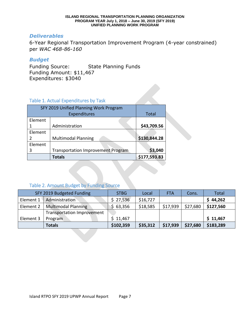#### **ISLAND REGIONAL TRANSPORTATION PLANNING ORGANIZATION PROGRAM YEAR July 1, 2018 – June 30, 2019 (SFY 2019) UNIFIED PLANNING WORK PROGRAM**

#### *Deliverables*

6-Year Regional Transportation Improvement Program (4-year constrained) per *WAC 468-86-160*

#### *Budget*

Funding Source: State Planning Funds Funding Amount: \$11,467 Expenditures: \$3040

#### Table 1. Actual Expenditures by Task

| SFY 2019 Unified Planning Work Program |                                           |              |
|----------------------------------------|-------------------------------------------|--------------|
|                                        | <b>Total</b>                              |              |
| Element                                |                                           |              |
| 1                                      | Administration                            | \$43,709.56  |
| Element                                |                                           |              |
| 2                                      | <b>Multimodal Planning</b>                | \$130,844.28 |
| Element                                |                                           |              |
| 3                                      | <b>Transportation Improvement Program</b> | \$3,040      |
|                                        | <b>Totals</b>                             | \$177,593.83 |

## Table 2. Amount Budget by Funding Source

| SFY 2019 Budgeted Funding |                                   | <b>STBG</b> | Local    | <b>FTA</b> | Cons.    | <b>Total</b> |
|---------------------------|-----------------------------------|-------------|----------|------------|----------|--------------|
| Element 1                 | Administration                    | \$27,536    | \$16,727 |            |          | \$44,262     |
| Element 2                 | <b>Multimodal Planning</b>        | 63,356      | \$18,585 | \$17,939   | \$27,680 | \$127,560    |
|                           | <b>Transportation Improvement</b> |             |          |            |          |              |
| Element 3                 | Program                           | \$11,467    |          |            |          | \$11,467     |
|                           | <b>Totals</b>                     | \$102,359   | \$35,312 | \$17,939   | \$27,680 | \$183,289    |